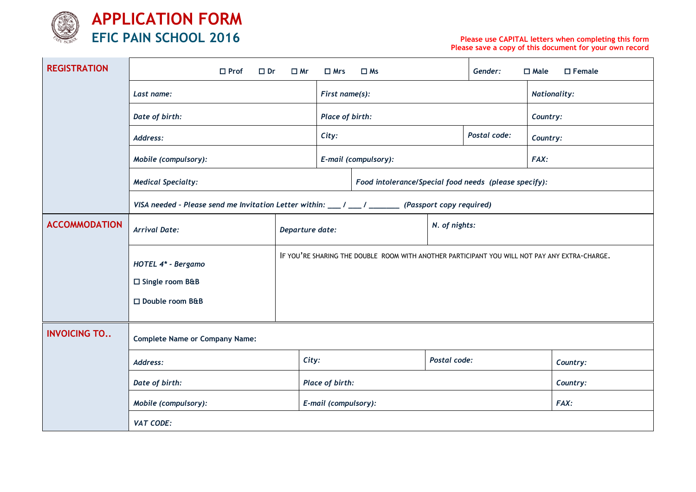

**APPLICATION FORM EFIC PAIN SCHOOL 2016**

## **Please use CAPITAL letters when completing this form Please save a copy of this document for your own record**

| <b>REGISTRATION</b>  | $\Box$ Prof<br>$\Box$ Dr                                                                          | $\square$ Mr                                                                                  | $\Box$ Mrs                                            | $\square$ Ms |               | Gender:             | $\square$ Female<br>$\square$ Male |  |  |  |  |
|----------------------|---------------------------------------------------------------------------------------------------|-----------------------------------------------------------------------------------------------|-------------------------------------------------------|--------------|---------------|---------------------|------------------------------------|--|--|--|--|
|                      | Last name:                                                                                        | First name(s):                                                                                |                                                       |              |               | <b>Nationality:</b> |                                    |  |  |  |  |
|                      | Date of birth:                                                                                    | Place of birth:                                                                               |                                                       |              |               | Country:            |                                    |  |  |  |  |
|                      | Address:                                                                                          | Postal code:<br>City:                                                                         |                                                       |              |               | Country:            |                                    |  |  |  |  |
|                      | Mobile (compulsory):                                                                              | E-mail (compulsory):                                                                          |                                                       |              | FAX:          |                     |                                    |  |  |  |  |
|                      | <b>Medical Specialty:</b>                                                                         |                                                                                               | Food intolerance/Special food needs (please specify): |              |               |                     |                                    |  |  |  |  |
|                      | VISA needed - Please send me Invitation Letter within: $\mu = \mu = \mu$ (Passport copy required) |                                                                                               |                                                       |              |               |                     |                                    |  |  |  |  |
| <b>ACCOMMODATION</b> | <b>Arrival Date:</b>                                                                              | Departure date:                                                                               |                                                       |              | N. of nights: |                     |                                    |  |  |  |  |
|                      | HOTEL 4* - Bergamo                                                                                | IF YOU'RE SHARING THE DOUBLE ROOM WITH ANOTHER PARTICIPANT YOU WILL NOT PAY ANY EXTRA-CHARGE. |                                                       |              |               |                     |                                    |  |  |  |  |
|                      | □ Single room B&B                                                                                 |                                                                                               |                                                       |              |               |                     |                                    |  |  |  |  |
|                      | □ Double room B&B                                                                                 |                                                                                               |                                                       |              |               |                     |                                    |  |  |  |  |
| <b>INVOICING TO</b>  | <b>Complete Name or Company Name:</b>                                                             |                                                                                               |                                                       |              |               |                     |                                    |  |  |  |  |
|                      | Address:                                                                                          | City:                                                                                         |                                                       | Postal code: |               | Country:            |                                    |  |  |  |  |
|                      | Date of birth:                                                                                    | Place of birth:                                                                               |                                                       |              |               | Country:            |                                    |  |  |  |  |
|                      | Mobile (compulsory):                                                                              | E-mail (compulsory):                                                                          |                                                       |              |               | FAX:                |                                    |  |  |  |  |
|                      | VAT CODE:                                                                                         |                                                                                               |                                                       |              |               |                     |                                    |  |  |  |  |